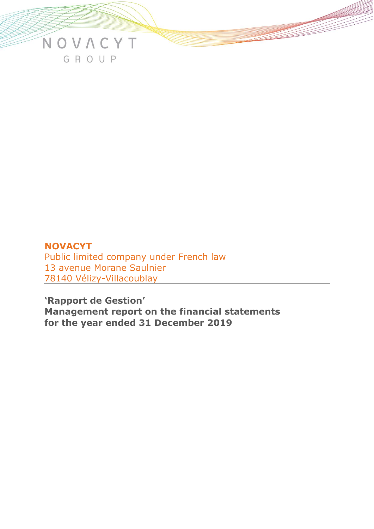

# **NOVACYT**  Public limited company under French law 13 avenue Morane Saulnier 78140 Vélizy-Villacoublay

**'Rapport de Gestion' Management report on the financial statements for the year ended 31 December 2019**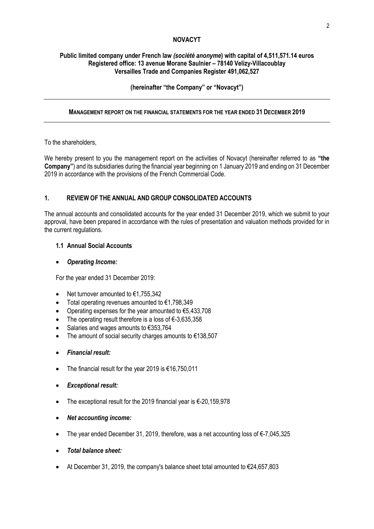### **NOVACYT**

### **Public limited company under French law** *(société anonyme***) with capital of 4,511,571.14 euros Registered office: 13 avenue Morane Saulnier – 78140 Velizy-Villacoublay Versailles Trade and Companies Register 491,062,527**

# **(hereinafter "the Company" or "Novacyt")**

### **MANAGEMENT REPORT ON THE FINANCIAL STATEMENTS FOR THE YEAR ENDED 31 DECEMBER 2019**

#### To the shareholders,

We hereby present to you the management report on the activities of Novacyt (hereinafter referred to as **"the Company"**) and its subsidiaries during the financial year beginning on 1 January 2019 and ending on 31 December 2019 in accordance with the provisions of the French Commercial Code.

# **1. REVIEW OF THE ANNUAL AND GROUP CONSOLIDATED ACCOUNTS**

The annual accounts and consolidated accounts for the year ended 31 December 2019, which we submit to your approval, have been prepared in accordance with the rules of presentation and valuation methods provided for in the current regulations.

### **1.1 Annual Social Accounts**

### • *Operating Income:*

For the year ended 31 December 2019:

- Net turnover amounted to €1,755,342
- Total operating revenues amounted to €1,798,349
- Operating expenses for the year amounted to  $\epsilon$ 5,433,708
- The operating result therefore is a loss of €-3,635,358
- Salaries and wages amounts to €353,764
- The amount of social security charges amounts to  $€138,507$
- *Financial result:*
- The financial result for the year 2019 is €16,750,011
- *Exceptional result:*
- The exceptional result for the 2019 financial year is €-20,159,978
- *Net accounting income:*
- The year ended December 31, 2019, therefore, was a net accounting loss of €-7,045,325
- *Total balance sheet:*
- At December 31, 2019, the company's balance sheet total amounted to €24,657,803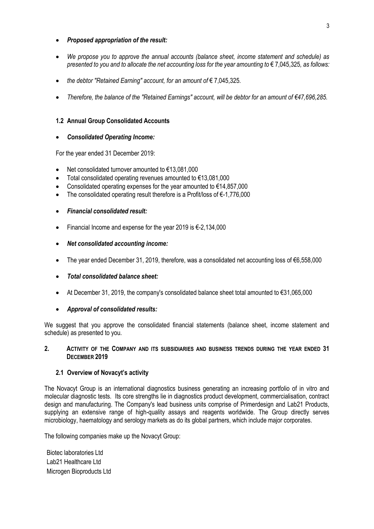### • *Proposed appropriation of the result:*

- *We propose you to approve the annual accounts (balance sheet, income statement and schedule) as presented to you and to allocate the net accounting loss for the year amounting to €7,045,325, as follows:*
- *the debtor "Retained Earning" account, for an amount of* € 7,045,325*.*
- *Therefore, the balance of the "Retained Earnings" account, will be debtor for an amount of €47,696,285.*

### **1.2 Annual Group Consolidated Accounts**

#### • *Consolidated Operating Income:*

For the year ended 31 December 2019:

- Net consolidated turnover amounted to €13,081,000
- Total consolidated operating revenues amounted to €13,081,000
- Consolidated operating expenses for the year amounted to  $€14,857,000$
- The consolidated operating result therefore is a Profit/loss of €-1,776,000

### • *Financial consolidated result:*

- Financial Income and expense for the year 2019 is €-2,134,000
- *Net consolidated accounting income:*
- The year ended December 31, 2019, therefore, was a consolidated net accounting loss of €6,558,000
- *Total consolidated balance sheet:*
- At December 31, 2019, the company's consolidated balance sheet total amounted to €31,065,000

#### • *Approval of consolidated results:*

We suggest that you approve the consolidated financial statements (balance sheet, income statement and schedule) as presented to you.

#### **2. ACTIVITY OF THE COMPANY AND ITS SUBSIDIARIES AND BUSINESS TRENDS DURING THE YEAR ENDED 31 DECEMBER 2019**

#### **2.1 Overview of Novacyt's activity**

The Novacyt Group is an international diagnostics business generating an increasing portfolio of in vitro and molecular diagnostic tests. Its core strengths lie in diagnostics product development, commercialisation, contract design and manufacturing. The Company's lead business units comprise of Primerdesign and Lab21 Products, supplying an extensive range of high-quality assays and reagents worldwide. The Group directly serves microbiology, haematology and serology markets as do its global partners, which include major corporates.

The following companies make up the Novacyt Group:

Biotec laboratories Ltd Lab21 Healthcare Ltd Microgen Bioproducts Ltd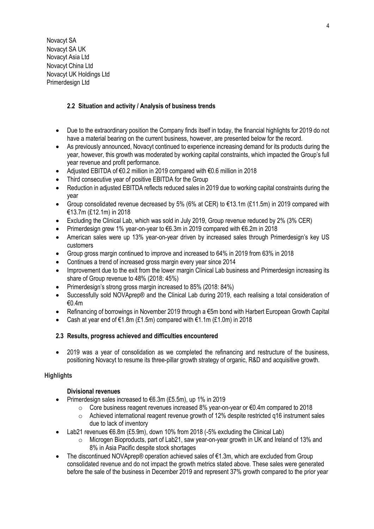Novacyt SA Novacyt SA UK Novacyt Asia Ltd Novacyt China Ltd Novacyt UK Holdings Ltd Primerdesign Ltd

# **2.2 Situation and activity / Analysis of business trends**

- Due to the extraordinary position the Company finds itself in today, the financial highlights for 2019 do not have a material bearing on the current business, however, are presented below for the record.
- As previously announced, Novacyt continued to experience increasing demand for its products during the year, however, this growth was moderated by working capital constraints, which impacted the Group's full year revenue and profit performance.
- Adjusted EBITDA of €0.2 million in 2019 compared with €0.6 million in 2018
- Third consecutive year of positive EBITDA for the Group
- Reduction in adjusted EBITDA reflects reduced sales in 2019 due to working capital constraints during the year
- Group consolidated revenue decreased by 5% (6% at CER) to €13.1m (£11.5m) in 2019 compared with €13.7m (£12.1m) in 2018
- Excluding the Clinical Lab, which was sold in July 2019, Group revenue reduced by 2% (3% CER)
- Primerdesign grew 1% year-on-year to €6.3m in 2019 compared with €6.2m in 2018
- American sales were up 13% year-on-year driven by increased sales through Primerdesign's key US customers
- Group gross margin continued to improve and increased to 64% in 2019 from 63% in 2018
- Continues a trend of increased gross margin every year since 2014
- Improvement due to the exit from the lower margin Clinical Lab business and Primerdesign increasing its share of Group revenue to 48% (2018: 45%)
- Primerdesign's strong gross margin increased to 85% (2018: 84%)
- Successfully sold NOVAprep® and the Clinical Lab during 2019, each realising a total consideration of €0.4m
- Refinancing of borrowings in November 2019 through a €5m bond with Harbert European Growth Capital
- Cash at year end of €1.8m (£1.5m) compared with €1.1m (£1.0m) in 2018

# **2.3 Results, progress achieved and difficulties encountered**

• 2019 was a year of consolidation as we completed the refinancing and restructure of the business, positioning Novacyt to resume its three-pillar growth strategy of organic, R&D and acquisitive growth*.*

# **Highlights**

# **Divisional revenues**

- Primerdesign sales increased to €6.3m (£5.5m), up 1% in 2019
	- $\circ$  Core business reagent revenues increased 8% year-on-year or  $\epsilon$ 0.4m compared to 2018
	- o Achieved international reagent revenue growth of 12% despite restricted q16 instrument sales due to lack of inventory
- Lab21 revenues €6.8m (£5.9m), down 10% from 2018 (-5% excluding the Clinical Lab)
	- $\circ$  Microgen Bioproducts, part of Lab21, saw year-on-year growth in UK and Ireland of 13% and 8% in Asia Pacific despite stock shortages
- The discontinued NOVAprep® operation achieved sales of €1.3m, which are excluded from Group consolidated revenue and do not impact the growth metrics stated above. These sales were generated before the sale of the business in December 2019 and represent 37% growth compared to the prior year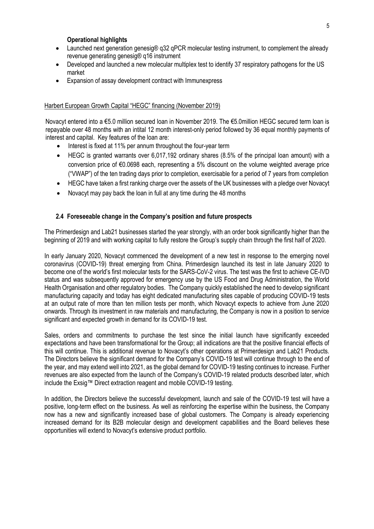#### **Operational highlights**

- Launched next generation genesig® g32 gPCR molecular testing instrument, to complement the already revenue generating genesig® q16 instrument
- Developed and launched a new molecular multiplex test to identify 37 respiratory pathogens for the US market
- Expansion of assay development contract with Immunexpress

### Harbert European Growth Capital "HEGC" financing (November 2019)

Novacyt entered into a €5.0 million secured loan in November 2019. The €5.0million HEGC secured term loan is repayable over 48 months with an intital 12 month interest-only period followed by 36 equal monthly payments of interest and capital. Key features of the loan are:

- Interest is fixed at 11% per annum throughout the four-year term
- HEGC is granted warrants over 6,017,192 ordinary shares (8.5% of the principal loan amount) with a conversion price of €0.0698 each, representing a 5% discount on the volume weighted average price ("VWAP") of the ten trading days prior to completion, exercisable for a period of 7 years from completion
- HEGC have taken a first ranking charge over the assets of the UK businesses with a pledge over Novacyt
- Novacyt may pay back the loan in full at any time during the 48 months

# **2.4 Foreseeable change in the Company's position and future prospects**

The Primerdesign and Lab21 businesses started the year strongly, with an order book significantly higher than the beginning of 2019 and with working capital to fully restore the Group's supply chain through the first half of 2020.

In early January 2020, Novacyt commenced the development of a new test in response to the emerging novel coronavirus (COVID-19) threat emerging from China. Primerdesign launched its test in late January 2020 to become one of the world's first molecular tests for the SARS-CoV-2 virus. The test was the first to achieve CE-IVD status and was subsequently approved for emergency use by the US Food and Drug Administration, the World Health Organisation and other regulatory bodies. The Company quickly established the need to develop significant manufacturing capacity and today has eight dedicated manufacturing sites capable of producing COVID-19 tests at an output rate of more than ten million tests per month, which Novacyt expects to achieve from June 2020 onwards. Through its investment in raw materials and manufacturing, the Company is now in a position to service significant and expected growth in demand for its COVID-19 test.

Sales, orders and commitments to purchase the test since the initial launch have significantly exceeded expectations and have been transformational for the Group; all indications are that the positive financial effects of this will continue. This is additional revenue to Novacyt's other operations at Primerdesign and Lab21 Products. The Directors believe the significant demand for the Company's COVID-19 test will continue through to the end of the year, and may extend well into 2021, as the global demand for COVID-19 testing continues to increase. Further revenues are also expected from the launch of the Company's COVID-19 related products described later, which include the Exsig™ Direct extraction reagent and mobile COVID-19 testing.

In addition, the Directors believe the successful development, launch and sale of the COVID-19 test will have a positive, long-term effect on the business. As well as reinforcing the expertise within the business, the Company now has a new and significantly increased base of global customers. The Company is already experiencing increased demand for its B2B molecular design and development capabilities and the Board believes these opportunities will extend to Novacyt's extensive product portfolio.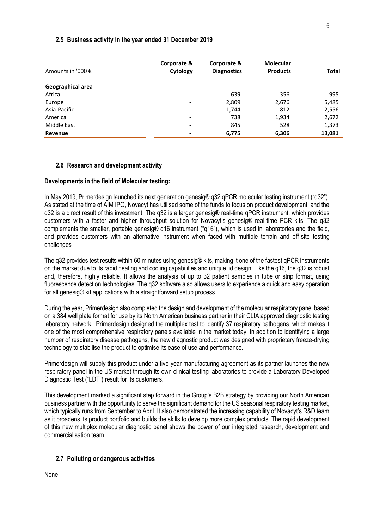#### **2.5 Business activity in the year ended 31 December 2019**

| Amounts in '000 € | Corporate &<br>Cytology  | Corporate &<br><b>Diagnostics</b> | <b>Molecular</b><br><b>Products</b> | <b>Total</b> |
|-------------------|--------------------------|-----------------------------------|-------------------------------------|--------------|
| Geographical area |                          |                                   |                                     |              |
| Africa            | $\overline{\phantom{0}}$ | 639                               | 356                                 | 995          |
| Europe            | $\overline{a}$           | 2,809                             | 2,676                               | 5,485        |
| Asia-Pacific      | $\overline{\phantom{a}}$ | 1,744                             | 812                                 | 2,556        |
| America           | $\overline{\phantom{a}}$ | 738                               | 1,934                               | 2,672        |
| Middle East       | -                        | 845                               | 528                                 | 1,373        |
| Revenue           | $\blacksquare$           | 6,775                             | 6,306                               | 13,081       |

#### **2.6 Research and development activity**

#### **Developments in the field of Molecular testing:**

In May 2019, Primerdesign launched its next generation genesig® g32 gPCR molecular testing instrument ("g32"). As stated at the time of AIM IPO, Novacyt has utilised some of the funds to focus on product development, and the q32 is a direct result of this investment. The q32 is a larger genesig® real-time qPCR instrument, which provides customers with a faster and higher throughput solution for Novacyt's genesig® real-time PCR kits. The q32 complements the smaller, portable genesig® q16 instrument ("q16"), which is used in laboratories and the field, and provides customers with an alternative instrument when faced with multiple terrain and off-site testing challenges

The q32 provides test results within 60 minutes using genesig® kits, making it one of the fastest qPCR instruments on the market due to its rapid heating and cooling capabilities and unique lid design. Like the q16, the q32 is robust and, therefore, highly reliable. It allows the analysis of up to 32 patient samples in tube or strip format, using fluorescence detection technologies. The q32 software also allows users to experience a quick and easy operation for all genesig® kit applications with a straightforward setup process.

During the year, Primerdesign also completed the design and development of the molecular respiratory panel based on a 384 well plate format for use by its North American business partner in their CLIA approved diagnostic testing laboratory network. Primerdesign designed the multiplex test to identify 37 respiratory pathogens, which makes it one of the most comprehensive respiratory panels available in the market today. In addition to identifying a large number of respiratory disease pathogens, the new diagnostic product was designed with proprietary freeze-drying technology to stabilise the product to optimise its ease of use and performance.

Primerdesign will supply this product under a five-year manufacturing agreement as its partner launches the new respiratory panel in the US market through its own clinical testing laboratories to provide a Laboratory Developed Diagnostic Test ("LDT") result for its customers.

This development marked a significant step forward in the Group's B2B strategy by providing our North American business partner with the opportunity to serve the significant demand for the US seasonal respiratory testing market, which typically runs from September to April. It also demonstrated the increasing capability of Novacyt's R&D team as it broadens its product portfolio and builds the skills to develop more complex products. The rapid development of this new multiplex molecular diagnostic panel shows the power of our integrated research, development and commercialisation team.

#### **2.7 Polluting or dangerous activities**

None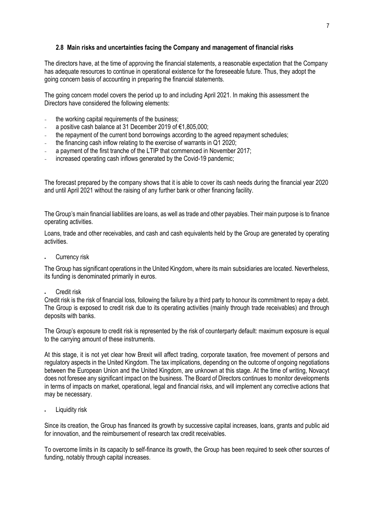#### **2.8 Main risks and uncertainties facing the Company and management of financial risks**

The directors have, at the time of approving the financial statements, a reasonable expectation that the Company has adequate resources to continue in operational existence for the foreseeable future. Thus, they adopt the going concern basis of accounting in preparing the financial statements.

The going concern model covers the period up to and including April 2021. In making this assessment the Directors have considered the following elements:

- the working capital requirements of the business;
- a positive cash balance at 31 December 2019 of €1,805,000;
- the repayment of the current bond borrowings according to the agreed repayment schedules;
- the financing cash inflow relating to the exercise of warrants in Q1 2020;
- a payment of the first tranche of the LTIP that commenced in November 2017;
- increased operating cash inflows generated by the Covid-19 pandemic:

The forecast prepared by the company shows that it is able to cover its cash needs during the financial year 2020 and until April 2021 without the raising of any further bank or other financing facility.

The Group's main financial liabilities are loans, as well as trade and other payables. Their main purpose is to finance operating activities.

Loans, trade and other receivables, and cash and cash equivalents held by the Group are generated by operating activities.

Currency risk

The Group has significant operations in the United Kingdom, where its main subsidiaries are located. Nevertheless, its funding is denominated primarily in euros.

Credit risk

Credit risk is the risk of financial loss, following the failure by a third party to honour its commitment to repay a debt. The Group is exposed to credit risk due to its operating activities (mainly through trade receivables) and through deposits with banks.

The Group's exposure to credit risk is represented by the risk of counterparty default: maximum exposure is equal to the carrying amount of these instruments.

At this stage, it is not yet clear how Brexit will affect trading, corporate taxation, free movement of persons and regulatory aspects in the United Kingdom. The tax implications, depending on the outcome of ongoing negotiations between the European Union and the United Kingdom, are unknown at this stage. At the time of writing, Novacyt does not foresee any significant impact on the business. The Board of Directors continues to monitor developments in terms of impacts on market, operational, legal and financial risks, and will implement any corrective actions that may be necessary.

Liquidity risk

Since its creation, the Group has financed its growth by successive capital increases, loans, grants and public aid for innovation, and the reimbursement of research tax credit receivables.

To overcome limits in its capacity to self-finance its growth, the Group has been required to seek other sources of funding, notably through capital increases.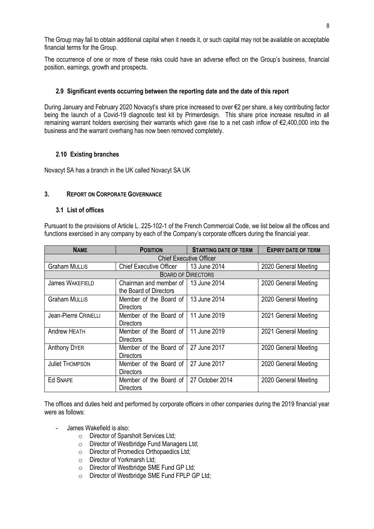The Group may fail to obtain additional capital when it needs it, or such capital may not be available on acceptable financial terms for the Group.

The occurrence of one or more of these risks could have an adverse effect on the Group's business, financial position, earnings, growth and prospects.

# **2.9 Significant events occurring between the reporting date and the date of this report**

During January and February 2020 Novacyt's share price increased to over €2 per share, a key contributing factor being the launch of a Covid-19 diagnostic test kit by Primerdesign. This share price increase resulted in all remaining warrant holders exercising their warrants which gave rise to a net cash inflow of €2,400,000 into the business and the warrant overhang has now been removed completely.

# **2.10 Existing branches**

Novacyt SA has a branch in the UK called Novacyt SA UK

# **3. REPORT ON CORPORATE GOVERNANCE**

### **3.1 List of offices**

Pursuant to the provisions of Article L. 225-102-1 of the French Commercial Code, we list below all the offices and functions exercised in any company by each of the Company's corporate officers during the financial year.

| <b>NAME</b>                    | <b>POSITION</b>                                  | <b>STARTING DATE OF TERM</b> | <b>EXPIRY DATE OF TERM</b> |  |  |  |
|--------------------------------|--------------------------------------------------|------------------------------|----------------------------|--|--|--|
| <b>Chief Executive Officer</b> |                                                  |                              |                            |  |  |  |
| <b>Graham MULLIS</b>           | <b>Chief Executive Officer</b>                   | 13 June 2014                 | 2020 General Meeting       |  |  |  |
|                                |                                                  | <b>BOARD OF DIRECTORS</b>    |                            |  |  |  |
| <b>James WAKEFIELD</b>         | Chairman and member of<br>the Board of Directors | 13 June 2014                 | 2020 General Meeting       |  |  |  |
| <b>Graham MULLIS</b>           | Member of the Board of<br><b>Directors</b>       | 13 June 2014                 | 2020 General Meeting       |  |  |  |
| Jean-Pierre CRINELLI           | Member of the Board of<br><b>Directors</b>       | 11 June 2019                 | 2021 General Meeting       |  |  |  |
| <b>Andrew HEATH</b>            | Member of the Board of<br><b>Directors</b>       | 11 June 2019                 | 2021 General Meeting       |  |  |  |
| <b>Anthony DYER</b>            | Member of the Board of<br><b>Directors</b>       | 27 June 2017                 | 2020 General Meeting       |  |  |  |
| <b>Juliet THOMPSON</b>         | Member of the Board of<br><b>Directors</b>       | 27 June 2017                 | 2020 General Meeting       |  |  |  |
| <b>Ed SNAPE</b>                | Member of the Board of<br>Directors              | 27 October 2014              | 2020 General Meeting       |  |  |  |

The offices and duties held and performed by corporate officers in other companies during the 2019 financial year were as follows:

- James Wakefield is also:
	- o Director of Sparsholt Services Ltd;
	- o Director of Westbridge Fund Managers Ltd;
	- o Director of Promedics Orthopaedics Ltd;
	- o Director of Yorkmarsh Ltd;
	- o Director of Westbridge SME Fund GP Ltd;
	- o Director of Westbridge SME Fund FPLP GP Ltd;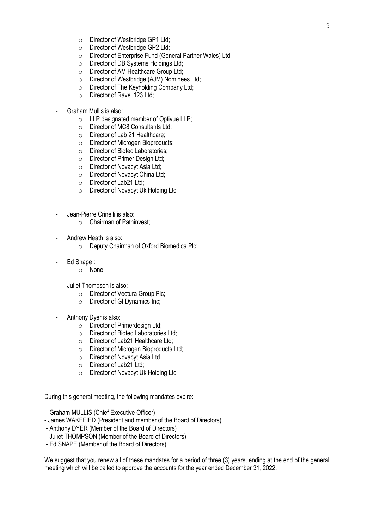- o Director of Westbridge GP1 Ltd;
- o Director of Westbridge GP2 Ltd;
- o Director of Enterprise Fund (General Partner Wales) Ltd;
- o Director of DB Systems Holdings Ltd;
- o Director of AM Healthcare Group Ltd;
- o Director of Westbridge (AJM) Nominees Ltd;
- o Director of The Keyholding Company Ltd;
- o Director of Ravel 123 Ltd;
- Graham Mullis is also:
	- o LLP designated member of Optivue LLP;
	- o Director of MC8 Consultants Ltd;
	- o Director of Lab 21 Healthcare;
	- o Director of Microgen Bioproducts;
	- o Director of Biotec Laboratories;
	- o Director of Primer Design Ltd;
	- o Director of Novacyt Asia Ltd;
	- o Director of Novacyt China Ltd;
	- o Director of Lab21 Ltd;
	- o Director of Novacyt Uk Holding Ltd
- Jean-Pierre Crinelli is also:
	- o Chairman of Pathinvest;
- Andrew Heath is also:
	- o Deputy Chairman of Oxford Biomedica Plc;
- Ed Snape:
	- o None.
- Juliet Thompson is also:
	- o Director of Vectura Group Plc;
	- o Director of GI Dynamics Inc;
- Anthony Dyer is also:
	- o Director of Primerdesign Ltd;
	- o Director of Biotec Laboratories Ltd;
	- o Director of Lab21 Healthcare Ltd;
	- o Director of Microgen Bioproducts Ltd;
	- o Director of Novacyt Asia Ltd.
	- o Director of Lab21 Ltd;
	- o Director of Novacyt Uk Holding Ltd

During this general meeting, the following mandates expire:

- Graham MULLIS (Chief Executive Officer)
- James WAKEFIED (President and member of the Board of Directors)
- Anthony DYER (Member of the Board of Directors)
- Juliet THOMPSON (Member of the Board of Directors)
- Ed SNAPE (Member of the Board of Directors)

We suggest that you renew all of these mandates for a period of three (3) years, ending at the end of the general meeting which will be called to approve the accounts for the year ended December 31, 2022.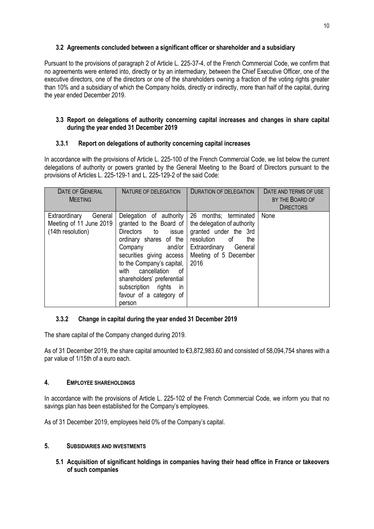# **3.2 Agreements concluded between a significant officer or shareholder and a subsidiary**

Pursuant to the provisions of paragraph 2 of Article L. 225-37-4, of the French Commercial Code, we confirm that no agreements were entered into, directly or by an intermediary, between the Chief Executive Officer, one of the executive directors, one of the directors or one of the shareholders owning a fraction of the voting rights greater than 10% and a subsidiary of which the Company holds, directly or indirectly, more than half of the capital, during the year ended December 2019.

# **3.3 Report on delegations of authority concerning capital increases and changes in share capital during the year ended 31 December 2019**

# **3.3.1 Report on delegations of authority concerning capital increases**

In accordance with the provisions of Article L. 225-100 of the French Commercial Code, we list below the current delegations of authority or powers granted by the General Meeting to the Board of Directors pursuant to the provisions of Articles L. 225-129-1 and L. 225-129-2 of the said Code:

| <b>DATE OF GENERAL</b><br><b>MEFTING</b>                                 | NATURE OF DELEGATION                                                                                                                                                                                                                                                                                                  | DURATION OF DELEGATION                                                                                                                                                | DATE AND TERMS OF USE<br>BY THE BOARD OF<br><b>DIRECTORS</b> |
|--------------------------------------------------------------------------|-----------------------------------------------------------------------------------------------------------------------------------------------------------------------------------------------------------------------------------------------------------------------------------------------------------------------|-----------------------------------------------------------------------------------------------------------------------------------------------------------------------|--------------------------------------------------------------|
| Extraordinary<br>General<br>Meeting of 11 June 2019<br>(14th resolution) | Delegation of authority<br>granted to the Board of<br>Directors to issue<br>ordinary shares of the<br>and/or<br>Company<br>securities giving access<br>to the Company's capital,<br>cancellation<br>with<br>of<br>shareholders' preferential<br>subscription rights<br><i>in</i><br>favour of a category of<br>person | 26 months; terminated<br>the delegation of authority<br>granted under the 3rd<br>resolution<br>of<br>the<br>Extraordinary<br>General<br>Meeting of 5 December<br>2016 | None                                                         |

# **3.3.2 Change in capital during the year ended 31 December 2019**

The share capital of the Company changed during 2019.

As of 31 December 2019, the share capital amounted to €3,872,983.60 and consisted of 58,094,754 shares with a par value of 1/15th of a euro each.

# **4. EMPLOYEE SHAREHOLDINGS**

In accordance with the provisions of Article L. 225-102 of the French Commercial Code, we inform you that no savings plan has been established for the Company's employees.

As of 31 December 2019, employees held 0% of the Company's capital.

# **5. SUBSIDIARIES AND INVESTMENTS**

**5.1 Acquisition of significant holdings in companies having their head office in France or takeovers of such companies**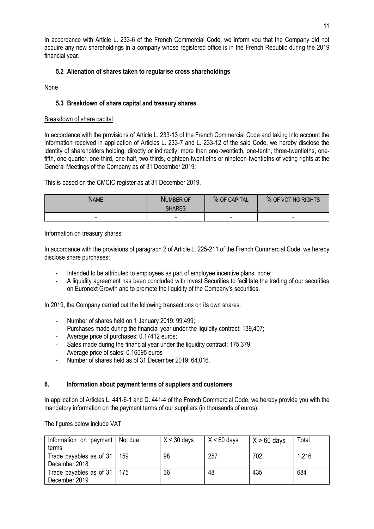In accordance with Article L. 233-6 of the French Commercial Code, we inform you that the Company did not acquire any new shareholdings in a company whose registered office is in the French Republic during the 2019 financial year.

# **5.2 Alienation of shares taken to regularise cross shareholdings**

None

### **5.3 Breakdown of share capital and treasury shares**

#### Breakdown of share capital

In accordance with the provisions of Article L. 233-13 of the French Commercial Code and taking into account the information received in application of Articles L. 233-7 and L. 233-12 of the said Code, we hereby disclose the identity of shareholders holding, directly or indirectly, more than one-twentieth, one-tenth, three-twentieths, onefifth, one-quarter, one-third, one-half, two-thirds, eighteen-twentieths or nineteen-twentieths of voting rights at the General Meetings of the Company as of 31 December 2019:

This is based on the CMCIC register as at 31 December 2019.

| Name                     | NUMBER OF<br><b>SHARES</b> | % OF CAPITAL | % OF VOTING RIGHTS |
|--------------------------|----------------------------|--------------|--------------------|
| $\overline{\phantom{0}}$ | $\overline{a}$             | -            | -                  |

Information on treasury shares:

In accordance with the provisions of paragraph 2 of Article L. 225-211 of the French Commercial Code, we hereby disclose share purchases:

- Intended to be attributed to employees as part of employee incentive plans: none;
- A liquidity agreement has been concluded with Invest Securities to facilitate the trading of our securities on Euronext Growth and to promote the liquidity of the Company's securities.

In 2019, the Company carried out the following transactions on its own shares:

- Number of shares held on 1 January 2019: 99.499:
- Purchases made during the financial year under the liquidity contract: 139,407;
- Average price of purchases: 0.17412 euros;
- Sales made during the financial year under the liquidity contract: 175,379;
- Average price of sales: 0.16095 euros
- Number of shares held as of 31 December 2019: 64,016.

#### **6. Information about payment terms of suppliers and customers**

In application of Articles L. 441-6-1 and D. 441-4 of the French Commercial Code, we hereby provide you with the mandatory information on the payment terms of our suppliers (in thousands of euros):

The figures below include VAT.

| Information on payment   Not due |     | $X < 30$ days | $X < 60$ days | $X > 60$ days | Total |
|----------------------------------|-----|---------------|---------------|---------------|-------|
| terms                            |     |               |               |               |       |
| Trade payables as of $31$        | 159 | 98            | 257           | 702           | 1,216 |
| December 2018                    |     |               |               |               |       |
| Trade payables as of $31$   175  |     | 36            | 48            | 435           | 684   |
| December 2019                    |     |               |               |               |       |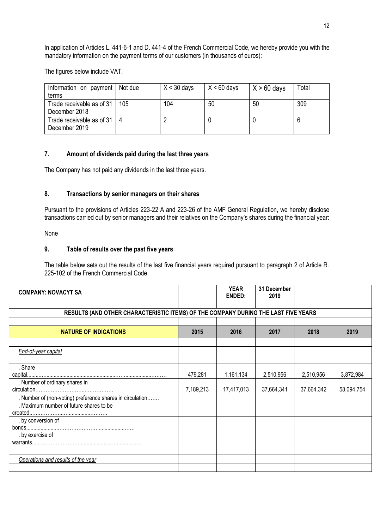In application of Articles L. 441-6-1 and D. 441-4 of the French Commercial Code, we hereby provide you with the mandatory information on the payment terms of our customers (in thousands of euros):

The figures below include VAT.

| Information on payment   Not due<br>terms        | $X < 30$ days | $X < 60$ days | $X > 60$ days | Total |
|--------------------------------------------------|---------------|---------------|---------------|-------|
| Trade receivable as of 31   105<br>December 2018 | 104           | 50            | 50            | 309   |
| Trade receivable as of 31   4<br>December 2019   |               |               |               |       |

### **7. Amount of dividends paid during the last three years**

The Company has not paid any dividends in the last three years.

### **8. Transactions by senior managers on their shares**

Pursuant to the provisions of Articles 223-22 A and 223-26 of the AMF General Regulation, we hereby disclose transactions carried out by senior managers and their relatives on the Company's shares during the financial year:

# None

#### **9. Table of results over the past five years**

The table below sets out the results of the last five financial years required pursuant to paragraph 2 of Article R. 225-102 of the French Commercial Code.

| <b>COMPANY: NOVACYT SA</b>                                                                           |           | <b>YEAR</b><br><b>ENDED:</b> | 31 December<br>2019 |            |            |
|------------------------------------------------------------------------------------------------------|-----------|------------------------------|---------------------|------------|------------|
| RESULTS (AND OTHER CHARACTERISTIC ITEMS) OF THE COMPANY DURING THE LAST FIVE YEARS                   |           |                              |                     |            |            |
| <b>NATURE OF INDICATIONS</b>                                                                         | 2015      | 2016                         | 2017                | 2018       | 2019       |
| End-of-year capital                                                                                  |           |                              |                     |            |            |
| . Share                                                                                              | 479,281   | 1,161,134                    | 2,510,956           | 2,510,956  | 3,872,984  |
| . Number of ordinary shares in                                                                       | 7,189,213 | 17,417,013                   | 37,664,341          | 37,664,342 | 58,094,754 |
| . Number of (non-voting) preference shares in circulation<br>. Maximum number of future shares to be |           |                              |                     |            |            |
| . by conversion of                                                                                   |           |                              |                     |            |            |
| . by exercise of                                                                                     |           |                              |                     |            |            |
|                                                                                                      |           |                              |                     |            |            |
| Operations and results of the year                                                                   |           |                              |                     |            |            |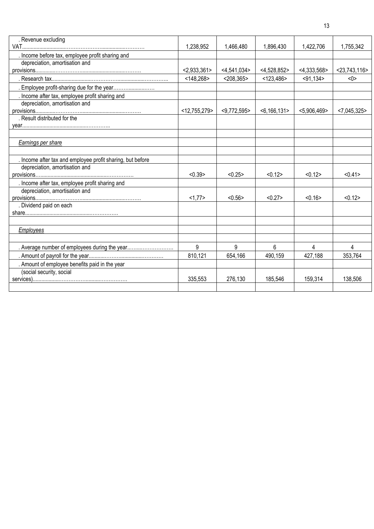| . Revenue excluding                                        |                 |                |                   |                |                 |
|------------------------------------------------------------|-----------------|----------------|-------------------|----------------|-----------------|
|                                                            | 1,238,952       | 1,466,480      | 1,896,430         | 1,422,706      | 1,755,342       |
| . Income before tax, employee profit sharing and           |                 |                |                   |                |                 |
| depreciation, amortisation and                             |                 |                |                   |                |                 |
|                                                            | < 2,933,361     | < 4.541.034 >  | $<$ 4,528,852>    | $<$ 4,333,568> | $<$ 23,743,116> |
|                                                            | < 148,268       | $<$ 208,365>   | $<$ 123,486>      | $<$ 91,134 $>$ | <0>             |
| . Employee profit-sharing due for the year                 |                 |                |                   |                |                 |
| . Income after tax, employee profit sharing and            |                 |                |                   |                |                 |
| depreciation, amortisation and                             |                 |                |                   |                |                 |
|                                                            | $<$ 12,755,279> | $<$ 9,772,595> | $<$ 6,166,131 $>$ | $<$ 5,906,469> | < 7,045,325     |
| . Result distributed for the                               |                 |                |                   |                |                 |
|                                                            |                 |                |                   |                |                 |
|                                                            |                 |                |                   |                |                 |
| Earnings per share                                         |                 |                |                   |                |                 |
|                                                            |                 |                |                   |                |                 |
| . Income after tax and employee profit sharing, but before |                 |                |                   |                |                 |
| depreciation, amortisation and                             |                 |                |                   |                |                 |
|                                                            | < 0.39          | < 0.25         | < 0.12            | < 0.12         | < 0.41          |
| . Income after tax, employee profit sharing and            |                 |                |                   |                |                 |
| depreciation, amortisation and                             |                 |                |                   |                |                 |
|                                                            | <1,77>          | < 0.56         | < 0.27            | < 0.16         | < 0.12          |
| . Dividend paid on each                                    |                 |                |                   |                |                 |
|                                                            |                 |                |                   |                |                 |
|                                                            |                 |                |                   |                |                 |
| Employees                                                  |                 |                |                   |                |                 |
|                                                            |                 |                |                   |                |                 |
| . Average number of employees during the year              | 9               | 9              | 6                 | 4              | 4               |
|                                                            | 810,121         | 654,166        | 490,159           | 427,188        | 353,764         |
| . Amount of employee benefits paid in the year             |                 |                |                   |                |                 |
| (social security, social                                   |                 |                |                   |                |                 |
|                                                            | 335,553         | 276,130        | 185,546           | 159,314        | 138,506         |
|                                                            |                 |                |                   |                |                 |
|                                                            |                 |                |                   |                |                 |

13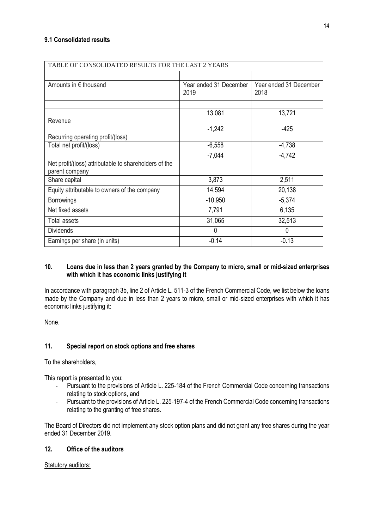| TABLE OF CONSOLIDATED RESULTS FOR THE LAST 2 YEARS    |                                |                                |  |  |  |
|-------------------------------------------------------|--------------------------------|--------------------------------|--|--|--|
|                                                       |                                |                                |  |  |  |
| Amounts in $\epsilon$ thousand                        | Year ended 31 December<br>2019 | Year ended 31 December<br>2018 |  |  |  |
|                                                       |                                |                                |  |  |  |
|                                                       | 13,081                         | 13,721                         |  |  |  |
| Revenue                                               |                                |                                |  |  |  |
|                                                       | $-1,242$                       | $-425$                         |  |  |  |
| Recurring operating profit/(loss)                     |                                |                                |  |  |  |
| Total net profit/(loss)                               | $-6,558$                       | $-4,738$                       |  |  |  |
|                                                       | $-7,044$                       | $-4,742$                       |  |  |  |
| Net profit/(loss) attributable to shareholders of the |                                |                                |  |  |  |
| parent company                                        |                                |                                |  |  |  |
| Share capital                                         | 3,873                          | 2,511                          |  |  |  |
| Equity attributable to owners of the company          | 14,594                         | 20,138                         |  |  |  |
| <b>Borrowings</b>                                     | $-10,950$                      | $-5,374$                       |  |  |  |
| Net fixed assets                                      | 7,791                          | 6,135                          |  |  |  |
| Total assets                                          | 31,065                         | 32,513                         |  |  |  |
| <b>Dividends</b>                                      | $\mathbf{0}$                   | 0                              |  |  |  |
| Earnings per share (in units)                         | $-0.14$                        | $-0.13$                        |  |  |  |

# **10. Loans due in less than 2 years granted by the Company to micro, small or mid-sized enterprises with which it has economic links justifying it**

In accordance with paragraph 3b, line 2 of Article L. 511-3 of the French Commercial Code, we list below the loans made by the Company and due in less than 2 years to micro, small or mid-sized enterprises with which it has economic links justifying it:

None.

# **11. Special report on stock options and free shares**

To the shareholders,

This report is presented to you:

- Pursuant to the provisions of Article L. 225-184 of the French Commercial Code concerning transactions relating to stock options, and
- Pursuant to the provisions of Article L. 225-197-4 of the French Commercial Code concerning transactions relating to the granting of free shares.

The Board of Directors did not implement any stock option plans and did not grant any free shares during the year ended 31 December 2019.

# **12. Office of the auditors**

Statutory auditors: